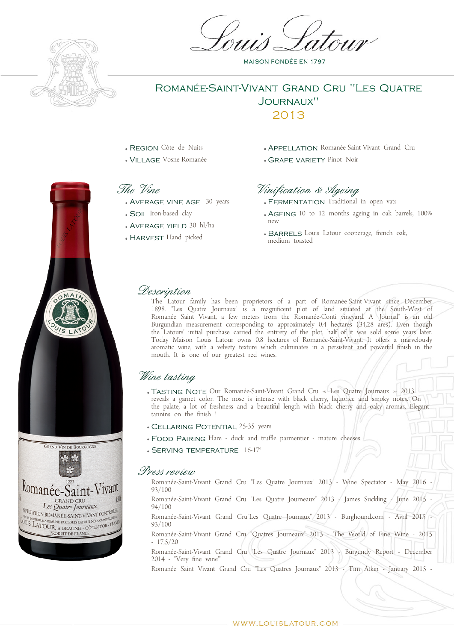

## Romanée-Saint-Vivant Grand Cru "Les Quatre Journaux" 2013

- Region Côte de Nuits
- Village Vosne-Romanée

## The Vine

- AVERAGE VINE AGE 30 years
- Soil Iron-based clay
- Average yield 30 hl/ha
- HARVEST Hand picked
- APPELLATION Romanée-Saint-Vivant Grand Cru
- **GRAPE VARIETY Pinot Noir**

# Vinification & Ageing

- FERMENTATION Traditional in open vats
- AGFING 10 to 12 months ageing in oak barrels, 100% new
- BARRELS Louis Latour cooperage, french oak, medium toasted

#### Description

The Latour family has been proprietors of a part of Romanée-Saint-Vivant since December 1898. "Les Quatre Journaux" is a magnificent plot of land situated at the South-West of Romanée Saint Vivant, a few meters from the Romanée-Conti vineyard. A "Journal" is an old Burgundian measurement corresponding to approximately 0.4 hectares (34,28 ares). Even though the Latours' initial purchase carried the entirety of the plot, half of it was sold some years later. Today Maison Louis Latour owns 0.8 hectares of Romanée-Saint-Vivant. It offers a marvelously aromatic wine, with a velvety texture which culminates in a persistent and powerful finish in the mouth. It is one of our greatest red wines.

# Wine tasting

- TASTING NOTE Our Romanée-Saint-Vivant Grand Cru « Les Quatre Journaux » 2013 reveals a garnet color. The nose is intense with black cherry, liquorice and smoky notes. On the palate, a lot of freshness and a beautiful length with black cherry and oaky aromas. Elegant tannins on the finish !
- Cellaring Potential 25-35 years
- FOOD PAIRING Hare duck and truffle parmentier mature cheeses
- Serving temperature 16-17°

#### Press review

Romanée-Saint-Vivant Grand Cru "Les Quatre Journaux" 2013 - Wine Spectator - May 2016 - 93/100 Romanée-Saint-Vivant Grand Cru "Les Quatre Journeaux" 2013 - James Suckling - June 2015 - 94/100 Romanée-Saint-Vivant Grand Cru"Les Quatre Journaux" 2013 - Burghound.com - Avril 2015 - 93/100 Romanée-Saint-Vivant Grand Cru "Quatres Journeaux" 2013 - The World of Fine Wine - 2015 - 17,5/20 Romanée-Saint-Vivant Grand Cru "Les Quatre Journaux" 2013 - Burgundy Report - December 2014 - "Very fine wine"" Romanée Saint Vivant Grand Cru "Les Quatres Journaux" 2013 - Tim Atkin - January 2015 -



 $MA$ 

**MAISON FONDÉE EN 1797**